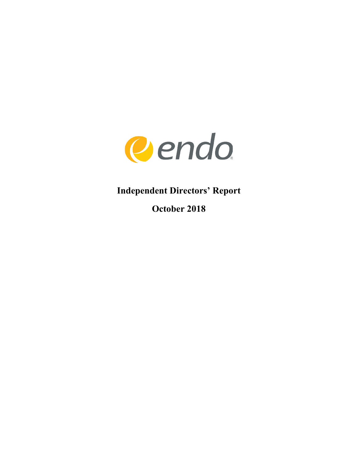

**Independent Directors' Report**

**October 2018**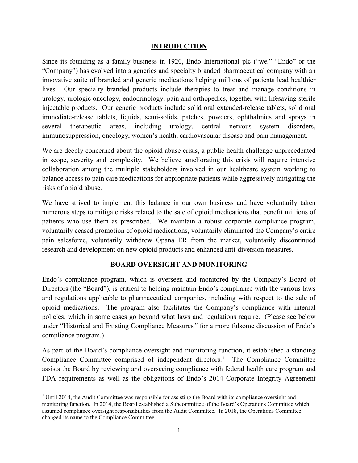#### **INTRODUCTION**

Since its founding as a family business in 1920, Endo International plc ("we," "Endo" or the "Company") has evolved into a generics and specialty branded pharmaceutical company with an innovative suite of branded and generic medications helping millions of patients lead healthier lives. Our specialty branded products include therapies to treat and manage conditions in urology, urologic oncology, endocrinology, pain and orthopedics, together with lifesaving sterile injectable products. Our generic products include solid oral extended-release tablets, solid oral immediate-release tablets, liquids, semi-solids, patches, powders, ophthalmics and sprays in several therapeutic areas, including urology, central nervous system disorders, immunosuppression, oncology, women's health, cardiovascular disease and pain management.

We are deeply concerned about the opioid abuse crisis, a public health challenge unprecedented in scope, severity and complexity. We believe ameliorating this crisis will require intensive collaboration among the multiple stakeholders involved in our healthcare system working to balance access to pain care medications for appropriate patients while aggressively mitigating the risks of opioid abuse.

We have strived to implement this balance in our own business and have voluntarily taken numerous steps to mitigate risks related to the sale of opioid medications that benefit millions of patients who use them as prescribed. We maintain a robust corporate compliance program, voluntarily ceased promotion of opioid medications, voluntarily eliminated the Company's entire pain salesforce, voluntarily withdrew Opana ER from the market, voluntarily discontinued research and development on new opioid products and enhanced anti-diversion measures.

#### **BOARD OVERSIGHT AND MONITORING**

Endo's compliance program, which is overseen and monitored by the Company's Board of Directors (the "<u>Board</u>"), is critical to helping maintain Endo's compliance with the various laws and regulations applicable to pharmaceutical companies, including with respect to the sale of opioid medications. The program also facilitates the Company's compliance with internal policies, which in some cases go beyond what laws and regulations require. (Please see below under "Historical and Existing Compliance Measures*"* for a more fulsome discussion of Endo's compliance program.)

As part of the Board's compliance oversight and monitoring function, it established a standing Compliance Committee comprised of independent directors. [1](#page-1-0) The Compliance Committee assists the Board by reviewing and overseeing compliance with federal health care program and FDA requirements as well as the obligations of Endo's 2014 Corporate Integrity Agreement

<span id="page-1-0"></span><sup>&</sup>lt;sup>1</sup> Until 2014, the Audit Committee was responsible for assisting the Board with its compliance oversight and monitoring function. In 2014, the Board established a Subcommittee of the Board's Operations Committee which assumed compliance oversight responsibilities from the Audit Committee. In 2018, the Operations Committee changed its name to the Compliance Committee.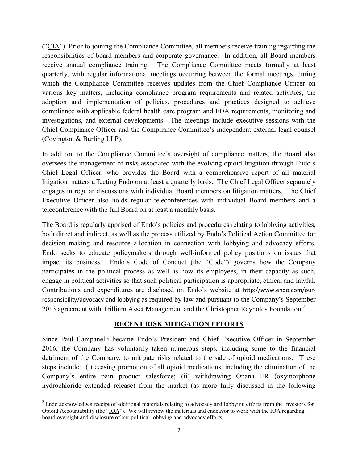("CIA"). Prior to joining the Compliance Committee, all members receive training regarding the responsibilities of board members and corporate governance. In addition, all Board members receive annual compliance training. The Compliance Committee meets formally at least quarterly, with regular informational meetings occurring between the formal meetings, during which the Compliance Committee receives updates from the Chief Compliance Officer on various key matters, including compliance program requirements and related activities, the adoption and implementation of policies, procedures and practices designed to achieve compliance with applicable federal health care program and FDA requirements, monitoring and investigations, and external developments. The meetings include executive sessions with the Chief Compliance Officer and the Compliance Committee's independent external legal counsel (Covington & Burling LLP).

In addition to the Compliance Committee's oversight of compliance matters, the Board also oversees the management of risks associated with the evolving opioid litigation through Endo's Chief Legal Officer, who provides the Board with a comprehensive report of all material litigation matters affecting Endo on at least a quarterly basis. The Chief Legal Officer separately engages in regular discussions with individual Board members on litigation matters. The Chief Executive Officer also holds regular teleconferences with individual Board members and a teleconference with the full Board on at least a monthly basis.

The Board is regularly apprised of Endo's policies and procedures relating to lobbying activities, both direct and indirect, as well as the process utilized by Endo's Political Action Committee for decision making and resource allocation in connection with lobbying and advocacy efforts. Endo seeks to educate policymakers through well-informed policy positions on issues that impact its business. Endo's Code of Conduct (the "Code") governs how the Company participates in the political process as well as how its employees, in their capacity as such, engage in political activities so that such political participation is appropriate, ethical and lawful. Contributions and expenditures are disclosed on Endo's website at [http://www.endo.com/our](http://www.endo.com/our-responsibility/advocacy-and-lobbying)[responsibility/advocacy-and-lobbying](http://www.endo.com/our-responsibility/advocacy-and-lobbying) as required by law and pursuant to the Company's September [2](#page-2-0)013 agreement with Trillium Asset Management and the Christopher Reynolds Foundation.<sup>2</sup>

# **RECENT RISK MITIGATION EFFORTS**

Since Paul Campanelli became Endo's President and Chief Executive Officer in September 2016, the Company has voluntarily taken numerous steps, including some to the financial detriment of the Company, to mitigate risks related to the sale of opioid medications. These steps include: (i) ceasing promotion of all opioid medications, including the elimination of the Company's entire pain product salesforce; (ii) withdrawing Opana ER (oxymorphone hydrochloride extended release) from the market (as more fully discussed in the following

<span id="page-2-0"></span><sup>&</sup>lt;sup>2</sup> Endo acknowledges receipt of additional materials relating to advocacy and lobbying efforts from the Investors for Opioid Accountability (the "IOA"). We will review the materials and endeavor to work with the IOA regarding board oversight and disclosure of our political lobbying and advocacy efforts.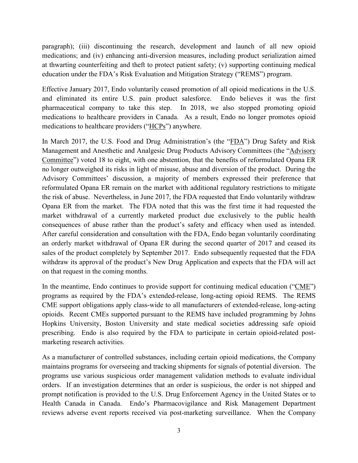paragraph); (iii) discontinuing the research, development and launch of all new opioid medications; and (iv) enhancing anti-diversion measures, including product serialization aimed at thwarting counterfeiting and theft to protect patient safety; (v) supporting continuing medical education under the FDA's Risk Evaluation and Mitigation Strategy ("REMS") program.

Effective January 2017, Endo voluntarily ceased promotion of all opioid medications in the U.S. and eliminated its entire U.S. pain product salesforce. Endo believes it was the first pharmaceutical company to take this step. In 2018, we also stopped promoting opioid medications to healthcare providers in Canada. As a result, Endo no longer promotes opioid medications to healthcare providers ("HCPs") anywhere.

In March 2017, the U.S. Food and Drug Administration's (the "FDA") Drug Safety and Risk Management and Anesthetic and Analgesic Drug Products Advisory Committees (the "Advisory Committee") voted 18 to eight, with one abstention, that the benefits of reformulated Opana ER no longer outweighed its risks in light of misuse, abuse and diversion of the product. During the Advisory Committees' discussion, a majority of members expressed their preference that reformulated Opana ER remain on the market with additional regulatory restrictions to mitigate the risk of abuse. Nevertheless, in June 2017, the FDA requested that Endo voluntarily withdraw Opana ER from the market. The FDA noted that this was the first time it had requested the market withdrawal of a currently marketed product due exclusively to the public health consequences of abuse rather than the product's safety and efficacy when used as intended. After careful consideration and consultation with the FDA, Endo began voluntarily coordinating an orderly market withdrawal of Opana ER during the second quarter of 2017 and ceased its sales of the product completely by September 2017. Endo subsequently requested that the FDA withdraw its approval of the product's New Drug Application and expects that the FDA will act on that request in the coming months.

In the meantime, Endo continues to provide support for continuing medical education ("CME") programs as required by the FDA's extended-release, long-acting opioid REMS. The REMS CME support obligations apply class-wide to all manufacturers of extended-release, long-acting opioids. Recent CMEs supported pursuant to the REMS have included programming by Johns Hopkins University, Boston University and state medical societies addressing safe opioid prescribing. Endo is also required by the FDA to participate in certain opioid-related postmarketing research activities.

As a manufacturer of controlled substances, including certain opioid medications, the Company maintains programs for overseeing and tracking shipments for signals of potential diversion. The programs use various suspicious order management validation methods to evaluate individual orders. If an investigation determines that an order is suspicious, the order is not shipped and prompt notification is provided to the U.S. Drug Enforcement Agency in the United States or to Health Canada in Canada. Endo's Pharmacovigilance and Risk Management Department reviews adverse event reports received via post-marketing surveillance. When the Company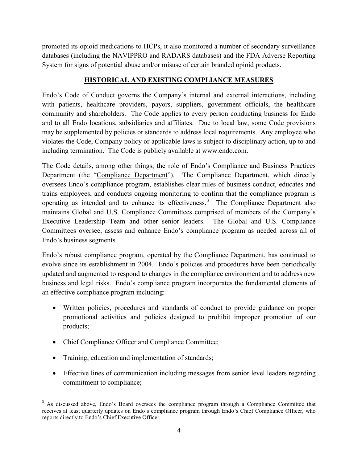promoted its opioid medications to HCPs, it also monitored a number of secondary surveillance databases (including the NAVIPPRO and RADARS databases) and the FDA Adverse Reporting System for signs of potential abuse and/or misuse of certain branded opioid products.

#### **HISTORICAL AND EXISTING COMPLIANCE MEASURES**

Endo's Code of Conduct governs the Company's internal and external interactions, including with patients, healthcare providers, payors, suppliers, government officials, the healthcare community and shareholders. The Code applies to every person conducting business for Endo and to all Endo locations, subsidiaries and affiliates. Due to local law, some Code provisions may be supplemented by policies or standards to address local requirements. Any employee who violates the Code, Company policy or applicable laws is subject to disciplinary action, up to and including termination. The Code is publicly available at www.endo.com.

The Code details, among other things, the role of Endo's Compliance and Business Practices Department (the "Compliance Department"). The Compliance Department, which directly oversees Endo's compliance program, establishes clear rules of business conduct, educates and trains employees, and conducts ongoing monitoring to confirm that the compliance program is operating as intended and to enhance its effectiveness. $3$  The Compliance Department also maintains Global and U.S. Compliance Committees comprised of members of the Company's Executive Leadership Team and other senior leaders. The Global and U.S. Compliance Committees oversee, assess and enhance Endo's compliance program as needed across all of Endo's business segments.

Endo's robust compliance program, operated by the Compliance Department, has continued to evolve since its establishment in 2004. Endo's policies and procedures have been periodically updated and augmented to respond to changes in the compliance environment and to address new business and legal risks. Endo's compliance program incorporates the fundamental elements of an effective compliance program including:

- Written policies, procedures and standards of conduct to provide guidance on proper promotional activities and policies designed to prohibit improper promotion of our products;
- Chief Compliance Officer and Compliance Committee;
- Training, education and implementation of standards;
- Effective lines of communication including messages from senior level leaders regarding commitment to compliance;

<span id="page-4-0"></span><sup>&</sup>lt;sup>3</sup> As discussed above, Endo's Board oversees the compliance program through a Compliance Committee that receives at least quarterly updates on Endo's compliance program through Endo's Chief Compliance Officer, who reports directly to Endo's Chief Executive Officer.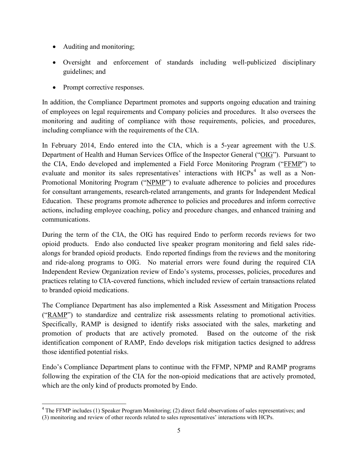- Auditing and monitoring;
- Oversight and enforcement of standards including well-publicized disciplinary guidelines; and
- Prompt corrective responses.

In addition, the Compliance Department promotes and supports ongoing education and training of employees on legal requirements and Company policies and procedures. It also oversees the monitoring and auditing of compliance with those requirements, policies, and procedures, including compliance with the requirements of the CIA.

In February 2014, Endo entered into the CIA, which is a 5-year agreement with the U.S. Department of Health and Human Services Office of the Inspector General ("OIG"). Pursuant to the CIA, Endo developed and implemented a Field Force Monitoring Program ("FFMP") to evaluate and monitor its sales representatives' interactions with HCPs<sup>[4](#page-5-0)</sup> as well as a Non-Promotional Monitoring Program ("NPMP") to evaluate adherence to policies and procedures for consultant arrangements, research-related arrangements, and grants for Independent Medical Education. These programs promote adherence to policies and procedures and inform corrective actions, including employee coaching, policy and procedure changes, and enhanced training and communications.

During the term of the CIA, the OIG has required Endo to perform records reviews for two opioid products. Endo also conducted live speaker program monitoring and field sales ridealongs for branded opioid products. Endo reported findings from the reviews and the monitoring and ride-along programs to OIG. No material errors were found during the required CIA Independent Review Organization review of Endo's systems, processes, policies, procedures and practices relating to CIA-covered functions, which included review of certain transactions related to branded opioid medications.

The Compliance Department has also implemented a Risk Assessment and Mitigation Process ("RAMP") to standardize and centralize risk assessments relating to promotional activities. Specifically, RAMP is designed to identify risks associated with the sales, marketing and promotion of products that are actively promoted. Based on the outcome of the risk identification component of RAMP, Endo develops risk mitigation tactics designed to address those identified potential risks.

Endo's Compliance Department plans to continue with the FFMP, NPMP and RAMP programs following the expiration of the CIA for the non-opioid medications that are actively promoted, which are the only kind of products promoted by Endo.

<span id="page-5-0"></span><sup>&</sup>lt;sup>4</sup> The FFMP includes (1) Speaker Program Monitoring; (2) direct field observations of sales representatives; and (3) monitoring and review of other records related to sales representatives' interactions with HCPs.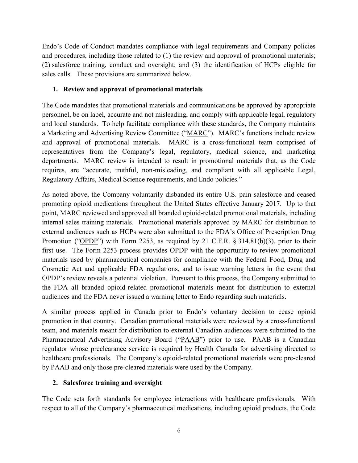Endo's Code of Conduct mandates compliance with legal requirements and Company policies and procedures, including those related to (1) the review and approval of promotional materials; (2) salesforce training, conduct and oversight; and (3) the identification of HCPs eligible for sales calls. These provisions are summarized below.

### **1. Review and approval of promotional materials**

The Code mandates that promotional materials and communications be approved by appropriate personnel, be on label, accurate and not misleading, and comply with applicable legal, regulatory and local standards. To help facilitate compliance with these standards, the Company maintains a Marketing and Advertising Review Committee ("MARC"). MARC's functions include review and approval of promotional materials. MARC is a cross-functional team comprised of representatives from the Company's legal, regulatory, medical science, and marketing departments. MARC review is intended to result in promotional materials that, as the Code requires, are "accurate, truthful, non-misleading, and compliant with all applicable Legal, Regulatory Affairs, Medical Science requirements, and Endo policies."

As noted above, the Company voluntarily disbanded its entire U.S. pain salesforce and ceased promoting opioid medications throughout the United States effective January 2017. Up to that point, MARC reviewed and approved all branded opioid-related promotional materials, including internal sales training materials. Promotional materials approved by MARC for distribution to external audiences such as HCPs were also submitted to the FDA's Office of Prescription Drug Promotion ("OPDP") with Form 2253, as required by 21 C.F.R. § 314.81(b)(3), prior to their first use. The Form 2253 process provides OPDP with the opportunity to review promotional materials used by pharmaceutical companies for compliance with the Federal Food, Drug and Cosmetic Act and applicable FDA regulations, and to issue warning letters in the event that OPDP's review reveals a potential violation. Pursuant to this process, the Company submitted to the FDA all branded opioid-related promotional materials meant for distribution to external audiences and the FDA never issued a warning letter to Endo regarding such materials.

A similar process applied in Canada prior to Endo's voluntary decision to cease opioid promotion in that country. Canadian promotional materials were reviewed by a cross-functional team, and materials meant for distribution to external Canadian audiences were submitted to the Pharmaceutical Advertising Advisory Board ("PAAB") prior to use. PAAB is a Canadian regulator whose preclearance service is required by Health Canada for advertising directed to healthcare professionals. The Company's opioid-related promotional materials were pre-cleared by PAAB and only those pre-cleared materials were used by the Company.

# **2. Salesforce training and oversight**

The Code sets forth standards for employee interactions with healthcare professionals. With respect to all of the Company's pharmaceutical medications, including opioid products, the Code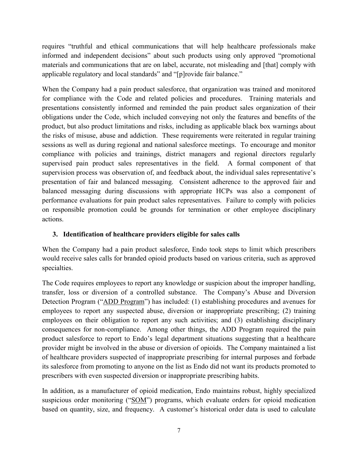requires "truthful and ethical communications that will help healthcare professionals make informed and independent decisions" about such products using only approved "promotional materials and communications that are on label, accurate, not misleading and [that] comply with applicable regulatory and local standards" and "[p]rovide fair balance."

When the Company had a pain product salesforce, that organization was trained and monitored for compliance with the Code and related policies and procedures. Training materials and presentations consistently informed and reminded the pain product sales organization of their obligations under the Code, which included conveying not only the features and benefits of the product, but also product limitations and risks, including as applicable black box warnings about the risks of misuse, abuse and addiction. These requirements were reiterated in regular training sessions as well as during regional and national salesforce meetings. To encourage and monitor compliance with policies and trainings, district managers and regional directors regularly supervised pain product sales representatives in the field. A formal component of that supervision process was observation of, and feedback about, the individual sales representative's presentation of fair and balanced messaging. Consistent adherence to the approved fair and balanced messaging during discussions with appropriate HCPs was also a component of performance evaluations for pain product sales representatives. Failure to comply with policies on responsible promotion could be grounds for termination or other employee disciplinary actions.

# **3. Identification of healthcare providers eligible for sales calls**

When the Company had a pain product salesforce, Endo took steps to limit which prescribers would receive sales calls for branded opioid products based on various criteria, such as approved specialties.

The Code requires employees to report any knowledge or suspicion about the improper handling, transfer, loss or diversion of a controlled substance. The Company's Abuse and Diversion Detection Program ("ADD Program") has included: (1) establishing procedures and avenues for employees to report any suspected abuse, diversion or inappropriate prescribing; (2) training employees on their obligation to report any such activities; and (3) establishing disciplinary consequences for non-compliance. Among other things, the ADD Program required the pain product salesforce to report to Endo's legal department situations suggesting that a healthcare provider might be involved in the abuse or diversion of opioids. The Company maintained a list of healthcare providers suspected of inappropriate prescribing for internal purposes and forbade its salesforce from promoting to anyone on the list as Endo did not want its products promoted to prescribers with even suspected diversion or inappropriate prescribing habits.

In addition, as a manufacturer of opioid medication, Endo maintains robust, highly specialized suspicious order monitoring ("SOM") programs, which evaluate orders for opioid medication based on quantity, size, and frequency. A customer's historical order data is used to calculate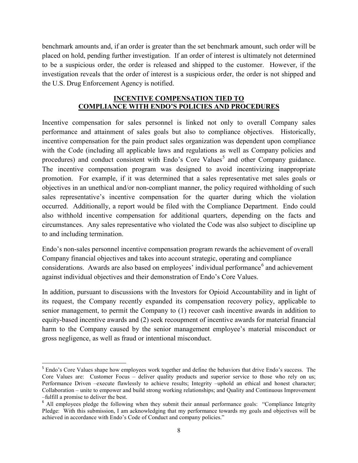benchmark amounts and, if an order is greater than the set benchmark amount, such order will be placed on hold, pending further investigation. If an order of interest is ultimately not determined to be a suspicious order, the order is released and shipped to the customer. However, if the investigation reveals that the order of interest is a suspicious order, the order is not shipped and the U.S. Drug Enforcement Agency is notified.

#### **INCENTIVE COMPENSATION TIED TO COMPLIANCE WITH ENDO'S POLICIES AND PROCEDURES**

Incentive compensation for sales personnel is linked not only to overall Company sales performance and attainment of sales goals but also to compliance objectives. Historically, incentive compensation for the pain product sales organization was dependent upon compliance with the Code (including all applicable laws and regulations as well as Company policies and procedures) and conduct consistent with Endo's Core Values<sup>[5](#page-8-0)</sup> and other Company guidance. The incentive compensation program was designed to avoid incentivizing inappropriate promotion. For example, if it was determined that a sales representative met sales goals or objectives in an unethical and/or non-compliant manner, the policy required withholding of such sales representative's incentive compensation for the quarter during which the violation occurred. Additionally, a report would be filed with the Compliance Department. Endo could also withhold incentive compensation for additional quarters, depending on the facts and circumstances. Any sales representative who violated the Code was also subject to discipline up to and including termination.

Endo's non-sales personnel incentive compensation program rewards the achievement of overall Company financial objectives and takes into account strategic, operating and compliance considerations. Awards are also based on employees' individual performance<sup>[6](#page-8-1)</sup> and achievement against individual objectives and their demonstration of Endo's Core Values.

In addition, pursuant to discussions with the Investors for Opioid Accountability and in light of its request, the Company recently expanded its compensation recovery policy, applicable to senior management, to permit the Company to (1) recover cash incentive awards in addition to equity-based incentive awards and (2) seek recoupment of incentive awards for material financial harm to the Company caused by the senior management employee's material misconduct or gross negligence, as well as fraud or intentional misconduct.

<span id="page-8-0"></span><sup>&</sup>lt;sup>5</sup> Endo's Core Values shape how employees work together and define the behaviors that drive Endo's success. The Core Values are: Customer Focus – deliver quality products and superior service to those who rely on us; Performance Driven –execute flawlessly to achieve results; Integrity –uphold an ethical and honest character; Collaboration – unite to empower and build strong working relationships; and Quality and Continuous Improvement –fulfill a promise to deliver the best.

<span id="page-8-1"></span><sup>&</sup>lt;sup>6</sup> All employees pledge the following when they submit their annual performance goals: "Compliance Integrity" Pledge: With this submission, I am acknowledging that my performance towards my goals and objectives will be achieved in accordance with Endo's Code of Conduct and company policies."